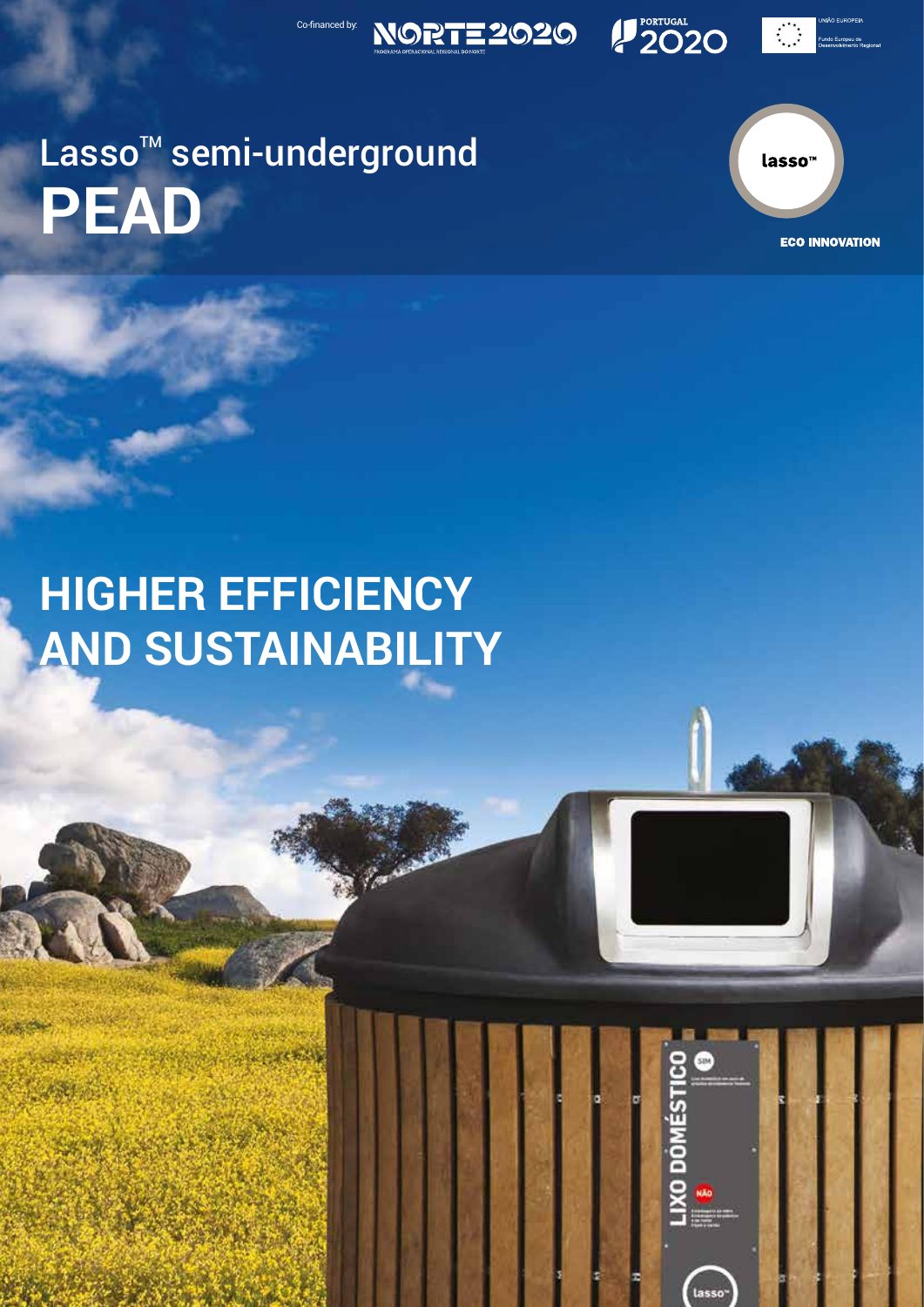

Co-financed by:

**NORTE 2020** 

lasso<sup>"</sup>

 $\stackrel{\star}{\underset{\star}{\star}}\stackrel{\star}{\underset{\star}{\star}}\stackrel{\star}{\underset{\star}{\star}}$ 

**2020** 

lasso<sup>-</sup>

**ECO INNOVATION** 

# **HIGHER EFFICIENCY AND SUSTAINABILITY**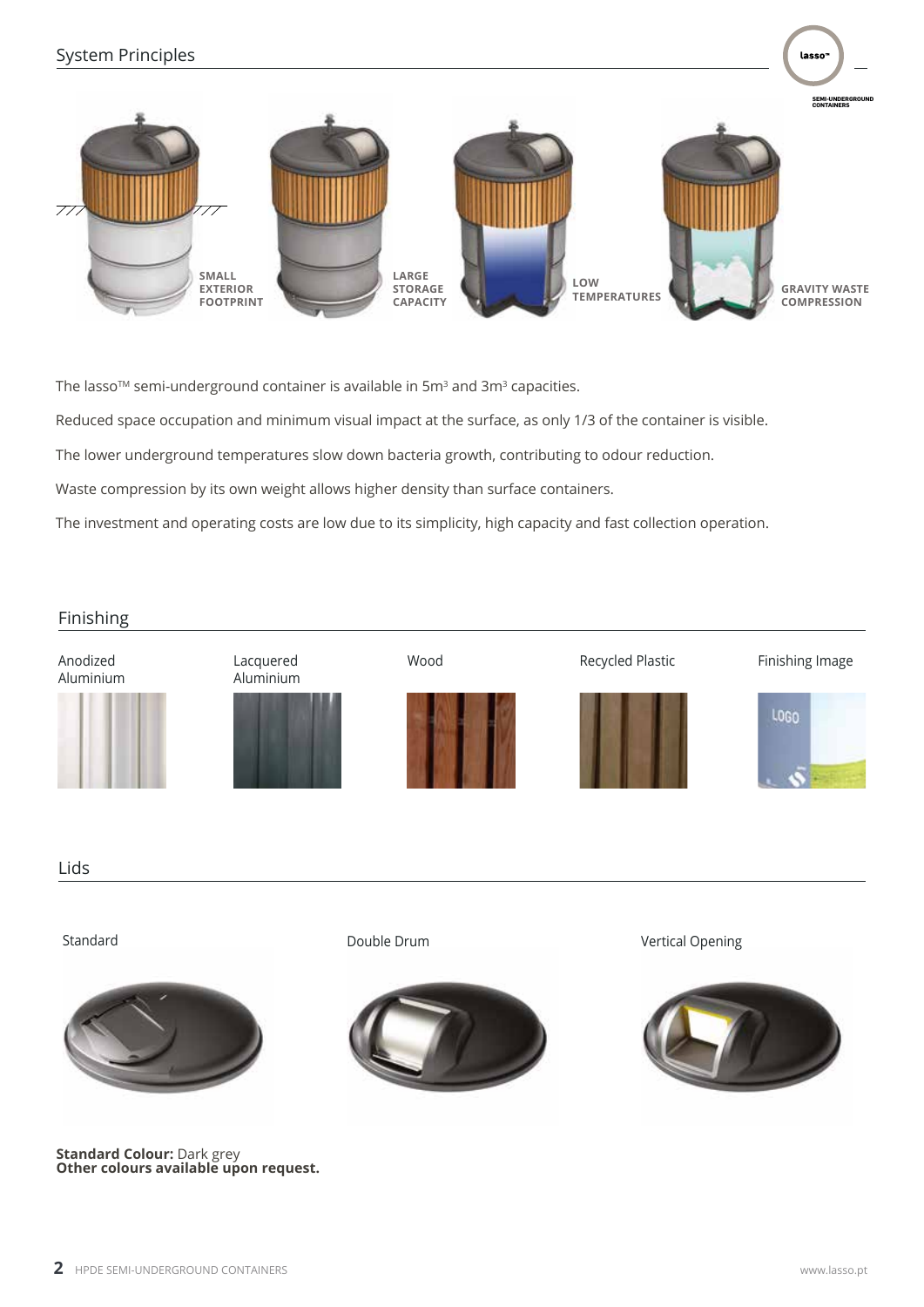

The lasso $\mathbb{M}$  semi-underground container is available in 5 $\mathsf{m}^{\mathsf{3}}$  and 3 $\mathsf{m}^{\mathsf{3}}$  capacities.

Reduced space occupation and minimum visual impact at the surface, as only 1/3 of the container is visible.

The lower underground temperatures slow down bacteria growth, contributing to odour reduction.

Waste compression by its own weight allows higher density than surface containers.

The investment and operating costs are low due to its simplicity, high capacity and fast collection operation.

#### Finishing

Anodized Aluminium











Wood Recycled Plastic Finishing Image

lasso



Lids



**Standard Colour:** Dark grey **Other colours available upon request.**



Standard **Double Drum** Double Drum Vertical Opening

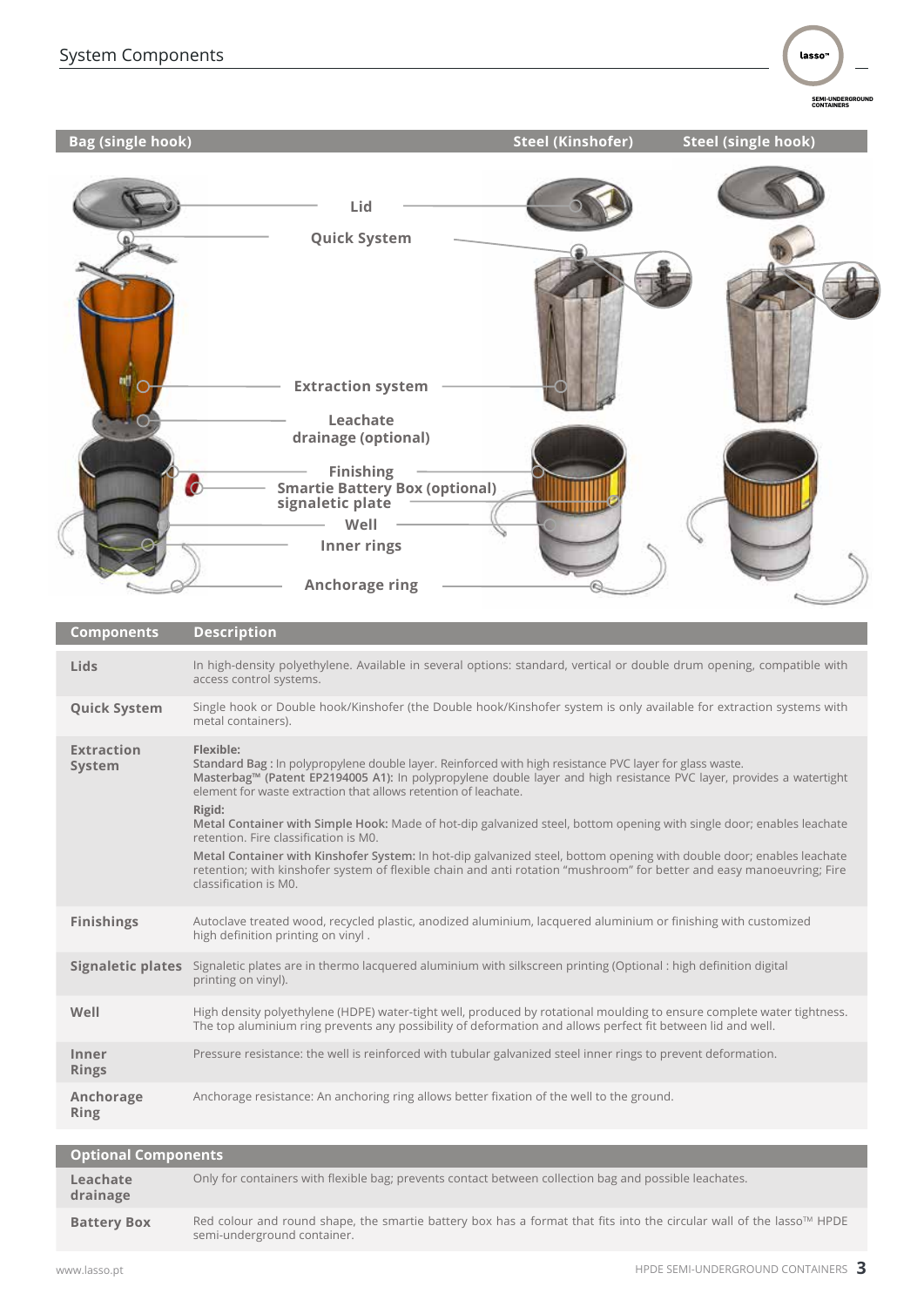**SEMI-UNDERGROUND CONTAINERS**

| <b>Bag (single hook)</b>    | <b>Steel (Kinshofer)</b><br><b>Steel (single hook)</b>                                                                                                                                                                                                                                                                                                                                                                                                                                                                                                                                                                                                                                                                                                                  |
|-----------------------------|-------------------------------------------------------------------------------------------------------------------------------------------------------------------------------------------------------------------------------------------------------------------------------------------------------------------------------------------------------------------------------------------------------------------------------------------------------------------------------------------------------------------------------------------------------------------------------------------------------------------------------------------------------------------------------------------------------------------------------------------------------------------------|
|                             | Lid<br><b>Quick System</b><br><b>Extraction system</b><br>Leachate<br>drainage (optional)<br><b>Finishing</b><br>O<br><b>Smartie Battery Box (optional)</b><br>signaletic plate<br>Well<br>Inner rings<br><b>Anchorage ring</b>                                                                                                                                                                                                                                                                                                                                                                                                                                                                                                                                         |
| <b>Components</b>           | <b>Description</b>                                                                                                                                                                                                                                                                                                                                                                                                                                                                                                                                                                                                                                                                                                                                                      |
| Lids                        | In high-density polyethylene. Available in several options: standard, vertical or double drum opening, compatible with<br>access control systems.                                                                                                                                                                                                                                                                                                                                                                                                                                                                                                                                                                                                                       |
| <b>Quick System</b>         | Single hook or Double hook/Kinshofer (the Double hook/Kinshofer system is only available for extraction systems with<br>metal containers).                                                                                                                                                                                                                                                                                                                                                                                                                                                                                                                                                                                                                              |
| <b>Extraction</b><br>System | Flexible:<br>Standard Bag : In polypropylene double layer. Reinforced with high resistance PVC layer for glass waste.<br>Masterbag™ (Patent EP2194005 A1): In polypropylene double layer and high resistance PVC layer, provides a watertight<br>element for waste extraction that allows retention of leachate.<br>Rigid:<br>Metal Container with Simple Hook: Made of hot-dip galvanized steel, bottom opening with single door; enables leachate<br>retention. Fire classification is M0.<br>Metal Container with Kinshofer System: In hot-dip galvanized steel, bottom opening with double door; enables leachate<br>retention; with kinshofer system of flexible chain and anti rotation "mushroom" for better and easy manoeuvring; Fire<br>classification is M0. |

**Signaletic plates** Signaletic plates are in thermo lacquered aluminium with silkscreen printing (Optional : high definition digital printing on vinyl). **Finishings** Autoclave treated wood, recycled plastic, anodized aluminium, lacquered aluminium or finishing with customized **high definition printing on vinyl** .

| Well                  | High density polyethylene (HDPE) water-tight well, produced by rotational moulding to ensure complete water tightness.<br>The top aluminium ring prevents any possibility of deformation and allows perfect fit between lid and well. |
|-----------------------|---------------------------------------------------------------------------------------------------------------------------------------------------------------------------------------------------------------------------------------|
| Inner<br><b>Rings</b> | Pressure resistance: the well is reinforced with tubular galvanized steel inner rings to prevent deformation.                                                                                                                         |
| Anchorage<br>Ring     | Anchorage resistance: An anchoring ring allows better fixation of the well to the ground.                                                                                                                                             |

| <b>Optional Components</b> |                                                                                                                                                     |  |  |  |
|----------------------------|-----------------------------------------------------------------------------------------------------------------------------------------------------|--|--|--|
| Leachate<br>drainage       | Only for containers with flexible bag; prevents contact between collection bag and possible leachates.                                              |  |  |  |
| <b>Battery Box</b>         | Red colour and round shape, the smartie battery box has a format that fits into the circular wall of the lasso™ HPDE<br>semi-underground container. |  |  |  |